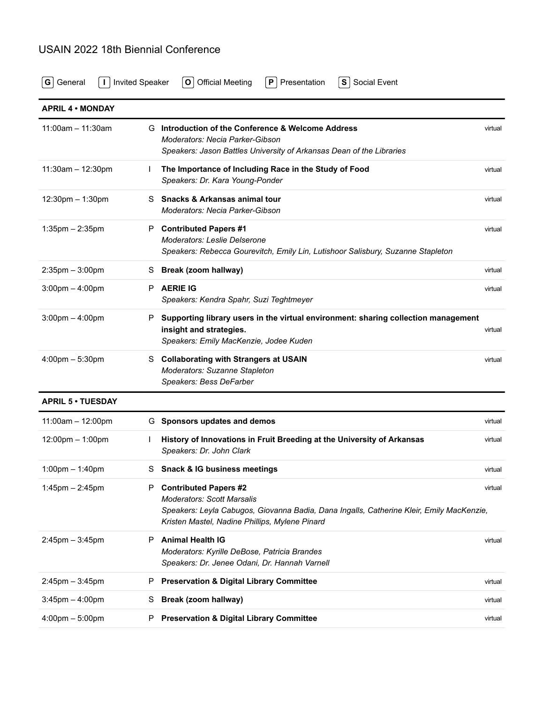## USAIN 2022 18th Biennial Conference

**[G](https://usain2022.sched.com/type/General/print)** [General](https://usain2022.sched.com/type/General/print) **[I](https://usain2022.sched.com/type/Invited+Speaker/print)** [Invited Speaker](https://usain2022.sched.com/type/Invited+Speaker/print) **[O](https://usain2022.sched.com/type/Official+Meeting/print)** [Official Meeting](https://usain2022.sched.com/type/Official+Meeting/print) **[P](https://usain2022.sched.com/type/Presentation/print)** [Presentation](https://usain2022.sched.com/type/Presentation/print) **[S](https://usain2022.sched.com/type/Social+Event/print)** [Social Event](https://usain2022.sched.com/type/Social+Event/print)

| <b>APRIL 4 . MONDAY</b>           |    |                                                                                                                                                                                                                 |         |
|-----------------------------------|----|-----------------------------------------------------------------------------------------------------------------------------------------------------------------------------------------------------------------|---------|
| $11:00$ am - 11:30am              | G. | Introduction of the Conference & Welcome Address<br>Moderators: Necia Parker-Gibson<br>Speakers: Jason Battles University of Arkansas Dean of the Libraries                                                     | virtual |
| $11:30am - 12:30pm$               |    | The Importance of Including Race in the Study of Food<br>Speakers: Dr. Kara Young-Ponder                                                                                                                        | virtual |
| $12:30$ pm $-1:30$ pm             | S  | <b>Snacks &amp; Arkansas animal tour</b><br>Moderators: Necia Parker-Gibson                                                                                                                                     | virtual |
| $1:35$ pm $-2:35$ pm              | P  | <b>Contributed Papers #1</b><br>Moderators: Leslie Delserone<br>Speakers: Rebecca Gourevitch, Emily Lin, Lutishoor Salisbury, Suzanne Stapleton                                                                 | virtual |
| $2:35$ pm $-3:00$ pm              | S  | Break (zoom hallway)                                                                                                                                                                                            | virtual |
| $3:00$ pm $-4:00$ pm              | P. | <b>AERIE IG</b><br>Speakers: Kendra Spahr, Suzi Teghtmeyer                                                                                                                                                      | virtual |
| $3:00 \text{pm} - 4:00 \text{pm}$ | P. | Supporting library users in the virtual environment: sharing collection management<br>insight and strategies.<br>Speakers: Emily MacKenzie, Jodee Kuden                                                         | virtual |
| $4:00 \text{pm} - 5:30 \text{pm}$ | S. | <b>Collaborating with Strangers at USAIN</b><br>Moderators: Suzanne Stapleton<br>Speakers: Bess DeFarber                                                                                                        | virtual |
| <b>APRIL 5 . TUESDAY</b>          |    |                                                                                                                                                                                                                 |         |
| $11:00am - 12:00pm$               |    | G Sponsors updates and demos                                                                                                                                                                                    | virtual |
| 12:00pm - 1:00pm                  |    | History of Innovations in Fruit Breeding at the University of Arkansas<br>Speakers: Dr. John Clark                                                                                                              | virtual |
| $1:00 \text{pm} - 1:40 \text{pm}$ | S  | <b>Snack &amp; IG business meetings</b>                                                                                                                                                                         | virtual |
| $1:45$ pm $- 2:45$ pm             | P. | <b>Contributed Papers #2</b><br><b>Moderators: Scott Marsalis</b><br>Speakers: Leyla Cabugos, Giovanna Badia, Dana Ingalls, Catherine Kleir, Emily MacKenzie,<br>Kristen Mastel, Nadine Phillips, Mylene Pinard | virtual |
| $2:45$ pm $-3:45$ pm              | P  | <b>Animal Health IG</b><br>Moderators: Kyrille DeBose, Patricia Brandes<br>Speakers: Dr. Jenee Odani, Dr. Hannah Varnell                                                                                        | virtual |
| $2:45$ pm $-3:45$ pm              | P  | <b>Preservation &amp; Digital Library Committee</b>                                                                                                                                                             | virtual |
| $3:45$ pm $-4:00$ pm              | S  | Break (zoom hallway)                                                                                                                                                                                            | virtual |
| $4:00 \text{pm} - 5:00 \text{pm}$ | P  | <b>Preservation &amp; Digital Library Committee</b>                                                                                                                                                             | virtual |